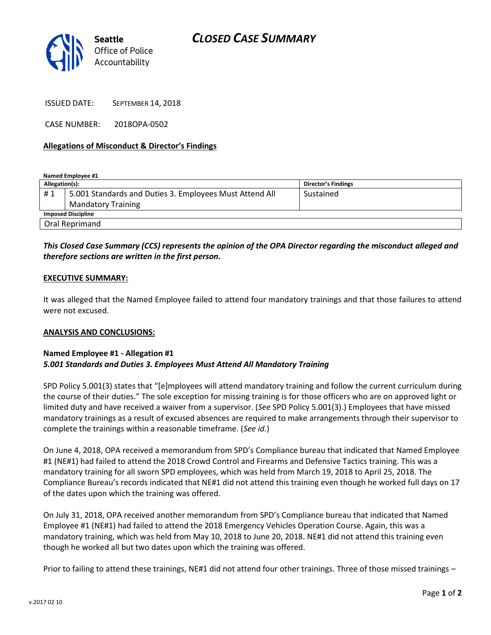

ISSUED DATE: SEPTEMBER 14, 2018

CASE NUMBER: 2018OPA-0502

# **Allegations of Misconduct & Director's Findings**

**Named Employee #1**

| Allegation(s):            |                                                         | Director's Findings |
|---------------------------|---------------------------------------------------------|---------------------|
| #1                        | 5.001 Standards and Duties 3. Employees Must Attend All | Sustained           |
|                           | <b>Mandatory Training</b>                               |                     |
| <b>Imposed Discipline</b> |                                                         |                     |
| Oral Reprimand            |                                                         |                     |

# *This Closed Case Summary (CCS) represents the opinion of the OPA Director regarding the misconduct alleged and therefore sections are written in the first person.*

# **EXECUTIVE SUMMARY:**

It was alleged that the Named Employee failed to attend four mandatory trainings and that those failures to attend were not excused.

#### **ANALYSIS AND CONCLUSIONS:**

# **Named Employee #1 - Allegation #1** *5.001 Standards and Duties 3. Employees Must Attend All Mandatory Training*

SPD Policy 5.001(3) states that "[e]mployees will attend mandatory training and follow the current curriculum during the course of their duties." The sole exception for missing training is for those officers who are on approved light or limited duty and have received a waiver from a supervisor. (*See* SPD Policy 5.001(3).) Employees that have missed mandatory trainings as a result of excused absences are required to make arrangements through their supervisor to complete the trainings within a reasonable timeframe. (*See id.*)

On June 4, 2018, OPA received a memorandum from SPD's Compliance bureau that indicated that Named Employee #1 (NE#1) had failed to attend the 2018 Crowd Control and Firearms and Defensive Tactics training. This was a mandatory training for all sworn SPD employees, which was held from March 19, 2018 to April 25, 2018. The Compliance Bureau's records indicated that NE#1 did not attend this training even though he worked full days on 17 of the dates upon which the training was offered.

On July 31, 2018, OPA received another memorandum from SPD's Compliance bureau that indicated that Named Employee #1 (NE#1) had failed to attend the 2018 Emergency Vehicles Operation Course. Again, this was a mandatory training, which was held from May 10, 2018 to June 20, 2018. NE#1 did not attend this training even though he worked all but two dates upon which the training was offered.

Prior to failing to attend these trainings, NE#1 did not attend four other trainings. Three of those missed trainings –